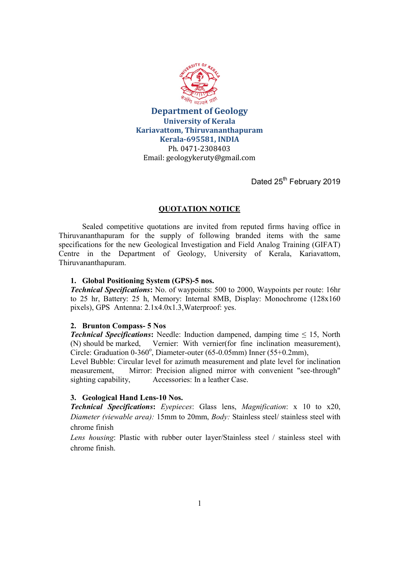

Department of Geology University of Kerala Kariavattom, Thiruvananthapuram Kerala-695581, INDIA Ph. 0471-2308403 Email: geologykeruty@gmail.com

Dated 25<sup>th</sup> February 2019

# QUOTATION NOTICE

 Sealed competitive quotations are invited from reputed firms having office in Thiruvananthapuram for the supply of following branded items with the same specifications for the new Geological Investigation and Field Analog Training (GIFAT) Centre in the Department of Geology, University of Kerala, Kariavattom, Thiruvananthapuram.

## 1. Global Positioning System (GPS)-5 nos.

Technical Specifications: No. of waypoints: 500 to 2000, Waypoints per route: 16hr to 25 hr, Battery: 25 h, Memory: Internal 8MB, Display: Monochrome (128x160 pixels), GPS Antenna: 2.1x4.0x1.3,Waterproof: yes.

## 2. Brunton Compass- 5 Nos

**Technical Specifications:** Needle: Induction dampened, damping time  $\leq 15$ , North (N) should be marked, Vernier: With vernier(for fine inclination measurement), Circle: Graduation 0-360°, Diameter-outer (65-0.05mm) Inner (55+0.2mm),

Level Bubble: Circular level for azimuth measurement and plate level for inclination measurement, Mirror: Precision aligned mirror with convenient "see-through" sighting capability, Accessories: In a leather Case.

# 3. Geological Hand Lens-10 Nos.

Technical Specifications: Eyepieces: Glass lens, Magnification: x 10 to x20, Diameter (viewable area): 15mm to 20mm, *Body:* Stainless steel/ stainless steel with chrome finish

Lens housing: Plastic with rubber outer layer/Stainless steel / stainless steel with chrome finish.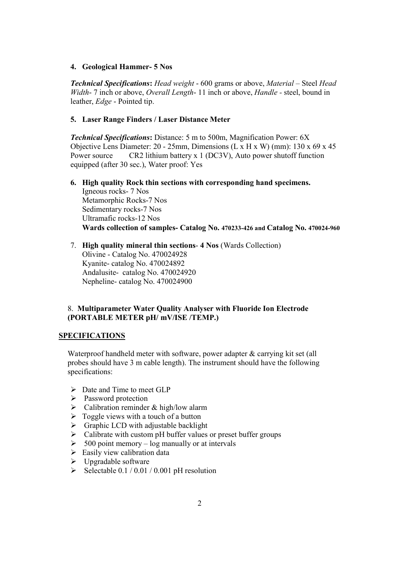#### 4. Geological Hammer- 5 Nos

Technical Specifications: Head weight - 600 grams or above, Material – Steel Head Width- 7 inch or above, *Overall Length*- 11 inch or above, *Handle* - steel, bound in leather, Edge - Pointed tip.

#### 5. Laser Range Finders / Laser Distance Meter

Technical Specifications: Distance: 5 m to 500m, Magnification Power: 6X Objective Lens Diameter: 20 - 25mm, Dimensions (L x H x W) (mm): 130 x 69 x 45 Power source CR2 lithium battery x 1 (DC3V), Auto power shutoff function equipped (after 30 sec.), Water proof: Yes

- 6. High quality Rock thin sections with corresponding hand specimens. Igneous rocks- 7 Nos Metamorphic Rocks-7 Nos Sedimentary rocks-7 Nos Ultramafic rocks-12 Nos Wards collection of samples- Catalog No. 470233-426 and Catalog No. 470024-960
- 7. High quality mineral thin sections- 4 Nos (Wards Collection) Olivine - Catalog No. 470024928 Kyanite- catalog No. 470024892 Andalusite- catalog No. 470024920 Nepheline- catalog No. 470024900

# 8. Multiparameter Water Quality Analyser with Fluoride Ion Electrode (PORTABLE METER pH/ mV/ISE /TEMP.)

#### SPECIFICATIONS

Waterproof handheld meter with software, power adapter & carrying kit set (all probes should have 3 m cable length). The instrument should have the following specifications:

- $\triangleright$  Date and Time to meet GLP
- $\triangleright$  Password protection
- $\triangleright$  Calibration reminder & high/low alarm
- $\triangleright$  Toggle views with a touch of a button
- $\triangleright$  Graphic LCD with adjustable backlight
- $\triangleright$  Calibrate with custom pH buffer values or preset buffer groups
- $\geq 500$  point memory log manually or at intervals
- $\triangleright$  Easily view calibration data
- $\triangleright$  Upgradable software
- $\triangleright$  Selectable 0.1 / 0.01 / 0.001 pH resolution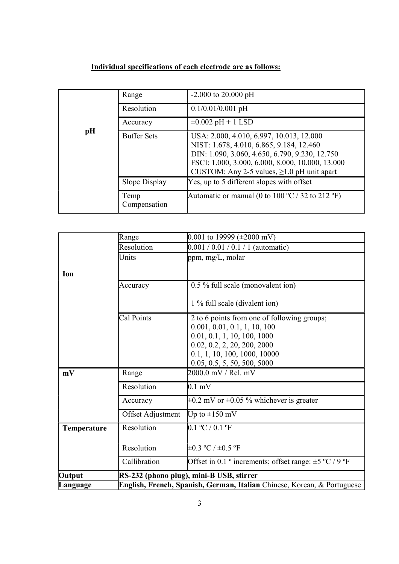# Individual specifications of each electrode are as follows:

| pH | Range                | $-2.000$ to 20.000 pH                                                                                                                                                                                                                          |
|----|----------------------|------------------------------------------------------------------------------------------------------------------------------------------------------------------------------------------------------------------------------------------------|
|    | Resolution           | $0.1/0.01/0.001$ pH                                                                                                                                                                                                                            |
|    | Accuracy             | $\pm 0.002$ pH + 1 LSD                                                                                                                                                                                                                         |
|    | <b>Buffer Sets</b>   | USA: 2.000, 4.010, 6.997, 10.013, 12.000<br>NIST: 1.678, 4.010, 6.865, 9.184, 12.460<br>DIN: 1.090, 3.060, 4.650, 6.790, 9.230, 12.750<br>FSCI: 1.000, 3.000, 6.000, 8.000, 10.000, 13.000<br>CUSTOM: Any 2-5 values, $\geq 1.0$ pH unit apart |
|    | Slope Display        | Yes, up to 5 different slopes with offset                                                                                                                                                                                                      |
|    | Temp<br>Compensation | Automatic or manual (0 to $100 \degree C / 32$ to $212 \degree F$ )                                                                                                                                                                            |

|             | Range                                                                   | 0.001 to 19999 ( $\pm 2000$ mV)                                             |  |
|-------------|-------------------------------------------------------------------------|-----------------------------------------------------------------------------|--|
|             | Resolution                                                              | $0.001 / 0.01 / 0.1 / 1$ (automatic)                                        |  |
|             | Units                                                                   | ppm, $mg/L$ , molar                                                         |  |
| Ion         |                                                                         |                                                                             |  |
|             | Accuracy                                                                | 0.5 % full scale (monovalent ion)                                           |  |
|             |                                                                         | 1 % full scale (divalent ion)                                               |  |
|             | Cal Points                                                              | 2 to 6 points from one of following groups;<br>0.001, 0.01, 0.1, 1, 10, 100 |  |
|             |                                                                         | 0.01, 0.1, 1, 10, 100, 1000                                                 |  |
|             |                                                                         | 0.02, 0.2, 2, 20, 200, 2000                                                 |  |
|             |                                                                         | 0.1, 1, 10, 100, 1000, 10000                                                |  |
|             |                                                                         | 0.05, 0.5, 5, 50, 500, 5000                                                 |  |
| mV          | Range                                                                   | 2000.0 mV / Rel. mV                                                         |  |
|             | Resolution                                                              | $0.1 \text{ mV}$                                                            |  |
|             | Accuracy                                                                | $\pm 0.2$ mV or $\pm 0.05$ % whichever is greater                           |  |
|             | Offset Adjustment                                                       | Up to $\pm 150$ mV                                                          |  |
| Temperature | Resolution                                                              | 0.1 °C / 0.1 °F                                                             |  |
|             | Resolution                                                              | $\pm 0.3$ °C / $\pm 0.5$ °F                                                 |  |
|             | Callibration                                                            | Offset in 0.1 ° increments; offset range: $\pm$ 5 °C / 9 °F                 |  |
| Output      | RS-232 (phono plug), mini-B USB, stirrer                                |                                                                             |  |
| Language    | English, French, Spanish, German, Italian Chinese, Korean, & Portuguese |                                                                             |  |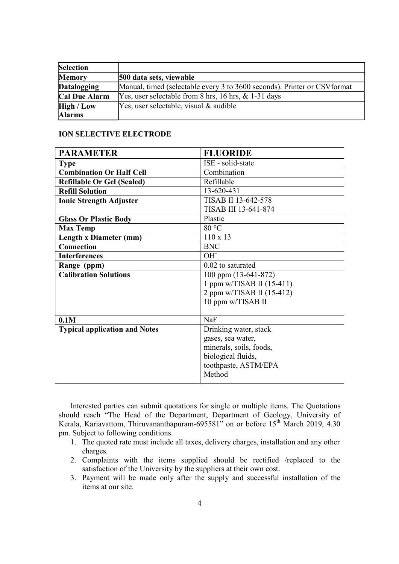| <b>Selection</b>     |                                                                           |
|----------------------|---------------------------------------------------------------------------|
| <b>Memory</b>        | 500 data sets, viewable                                                   |
| <b>Datalogging</b>   | Manual, timed (selectable every 3 to 3600 seconds). Printer or CSV format |
| <b>Cal Due Alarm</b> | [Yes, user selectable from 8 hrs, $16$ hrs, $\&$ 1-31 days                |
| <b>High / Low</b>    | Yes, user selectable, visual & audible                                    |
| <b>Alarms</b>        |                                                                           |

## ION SELECTIVE ELECTRODE

| <b>PARAMETER</b>                     | <b>FLUORIDE</b>           |
|--------------------------------------|---------------------------|
| <b>Type</b>                          | ISE - solid-state         |
| <b>Combination Or Half Cell</b>      | Combination               |
| <b>Refillable Or Gel (Sealed)</b>    | Refillable                |
| <b>Refill Solution</b>               | 13-620-431                |
| <b>Ionic Strength Adjuster</b>       | TISAB II 13-642-578       |
|                                      | TISAB III 13-641-874      |
| <b>Glass Or Plastic Body</b>         | Plastic                   |
| <b>Max Temp</b>                      | 80 °C                     |
| Length x Diameter (mm)               | $110 \times 13$           |
| <b>Connection</b>                    | <b>BNC</b>                |
| <b>Interferences</b>                 | OH <sup>-</sup>           |
| Range (ppm)                          | 0.02 to saturated         |
| <b>Calibration Solutions</b>         | 100 ppm (13-641-872)      |
|                                      | 1 ppm w/TISAB II (15-411) |
|                                      | 2 ppm w/TISAB II (15-412) |
|                                      | 10 ppm w/TISAB II         |
|                                      |                           |
| 0.1M                                 | NaF                       |
| <b>Typical application and Notes</b> | Drinking water, stack     |
|                                      | gases, sea water,         |
|                                      | minerals, soils, foods,   |
|                                      | biological fluids,        |
|                                      | toothpaste, ASTM/EPA      |
|                                      | Method                    |

Interested parties can submit quotations for single or multiple items. The Quotations should reach "The Head of the Department, Department of Geology, University of Kerala, Kariavattom, Thiruvananthapuram-695581 $\dot{v}$  on or before 15<sup>th</sup> March 2019, 4.30 pm. Subject to following conditions.

- 1. The quoted rate must include all taxes, delivery charges, installation and any other charges.
- 2. Complaints with the items supplied should be rectified /replaced to the satisfaction of the University by the suppliers at their own cost.
- 3. Payment will be made only after the supply and successful installation of the items at our site.